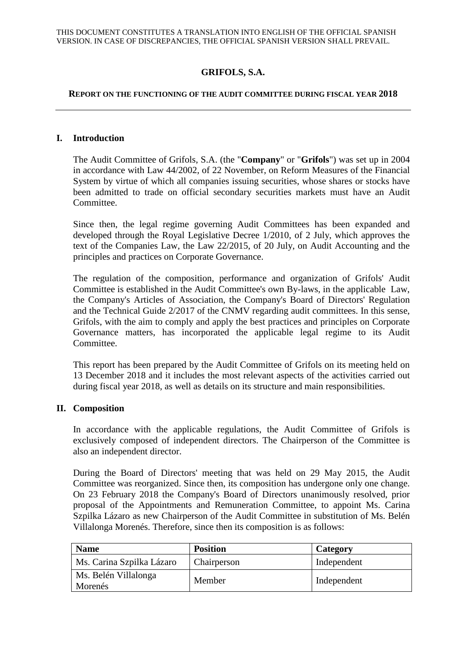# **GRIFOLS, S.A.**

#### **REPORT ON THE FUNCTIONING OF THE AUDIT COMMITTEE DURING FISCAL YEAR 2018**

#### **I. Introduction**

The Audit Committee of Grifols, S.A. (the "**Company**" or "**Grifols**") was set up in 2004 in accordance with Law 44/2002, of 22 November, on Reform Measures of the Financial System by virtue of which all companies issuing securities, whose shares or stocks have been admitted to trade on official secondary securities markets must have an Audit Committee.

Since then, the legal regime governing Audit Committees has been expanded and developed through the Royal Legislative Decree 1/2010, of 2 July, which approves the text of the Companies Law, the Law 22/2015, of 20 July, on Audit Accounting and the principles and practices on Corporate Governance.

The regulation of the composition, performance and organization of Grifols' Audit Committee is established in the Audit Committee's own By-laws, in the applicable Law, the Company's Articles of Association, the Company's Board of Directors' Regulation and the Technical Guide 2/2017 of the CNMV regarding audit committees. In this sense, Grifols, with the aim to comply and apply the best practices and principles on Corporate Governance matters, has incorporated the applicable legal regime to its Audit Committee.

This report has been prepared by the Audit Committee of Grifols on its meeting held on 13 December 2018 and it includes the most relevant aspects of the activities carried out during fiscal year 2018, as well as details on its structure and main responsibilities.

#### **II. Composition**

In accordance with the applicable regulations, the Audit Committee of Grifols is exclusively composed of independent directors. The Chairperson of the Committee is also an independent director.

During the Board of Directors' meeting that was held on 29 May 2015, the Audit Committee was reorganized. Since then, its composition has undergone only one change. On 23 February 2018 the Company's Board of Directors unanimously resolved, prior proposal of the Appointments and Remuneration Committee, to appoint Ms. Carina Szpilka Lázaro as new Chairperson of the Audit Committee in substitution of Ms. Belén Villalonga Morenés. Therefore, since then its composition is as follows:

| <b>Name</b>                     | <b>Position</b> | Category    |
|---------------------------------|-----------------|-------------|
| Ms. Carina Szpilka Lázaro       | Chairperson     | Independent |
| Ms. Belén Villalonga<br>Morenés | Member          | Independent |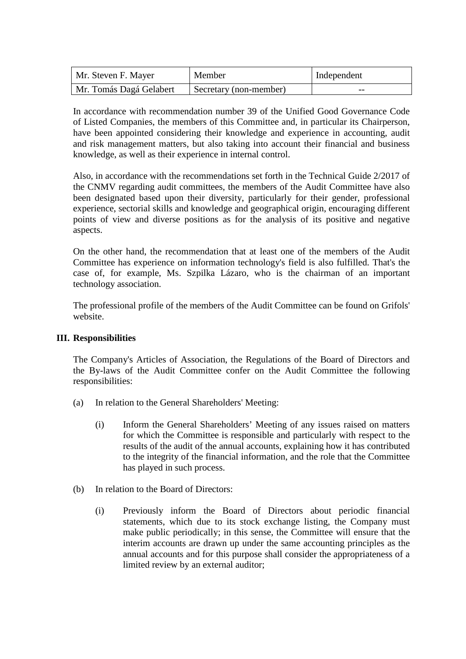| Mr. Steven F. Mayer     | Member                 | Independent |
|-------------------------|------------------------|-------------|
| Mr. Tomás Dagá Gelabert | Secretary (non-member) | --          |

In accordance with recommendation number 39 of the Unified Good Governance Code of Listed Companies, the members of this Committee and, in particular its Chairperson, have been appointed considering their knowledge and experience in accounting, audit and risk management matters, but also taking into account their financial and business knowledge, as well as their experience in internal control.

Also, in accordance with the recommendations set forth in the Technical Guide 2/2017 of the CNMV regarding audit committees, the members of the Audit Committee have also been designated based upon their diversity, particularly for their gender, professional experience, sectorial skills and knowledge and geographical origin, encouraging different points of view and diverse positions as for the analysis of its positive and negative aspects.

On the other hand, the recommendation that at least one of the members of the Audit Committee has experience on information technology's field is also fulfilled. That's the case of, for example, Ms. Szpilka Lázaro, who is the chairman of an important technology association.

The professional profile of the members of the Audit Committee can be found on Grifols' website.

## **III. Responsibilities**

The Company's Articles of Association, the Regulations of the Board of Directors and the By-laws of the Audit Committee confer on the Audit Committee the following responsibilities:

- (a) In relation to the General Shareholders' Meeting:
	- (i) Inform the General Shareholders' Meeting of any issues raised on matters for which the Committee is responsible and particularly with respect to the results of the audit of the annual accounts, explaining how it has contributed to the integrity of the financial information, and the role that the Committee has played in such process.
- (b) In relation to the Board of Directors:
	- (i) Previously inform the Board of Directors about periodic financial statements, which due to its stock exchange listing, the Company must make public periodically; in this sense, the Committee will ensure that the interim accounts are drawn up under the same accounting principles as the annual accounts and for this purpose shall consider the appropriateness of a limited review by an external auditor;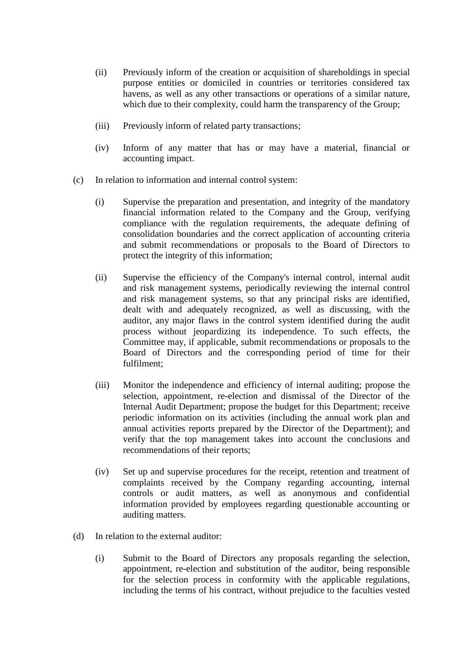- (ii) Previously inform of the creation or acquisition of shareholdings in special purpose entities or domiciled in countries or territories considered tax havens, as well as any other transactions or operations of a similar nature, which due to their complexity, could harm the transparency of the Group;
- (iii) Previously inform of related party transactions;
- (iv) Inform of any matter that has or may have a material, financial or accounting impact.
- (c) In relation to information and internal control system:
	- (i) Supervise the preparation and presentation, and integrity of the mandatory financial information related to the Company and the Group, verifying compliance with the regulation requirements, the adequate defining of consolidation boundaries and the correct application of accounting criteria and submit recommendations or proposals to the Board of Directors to protect the integrity of this information;
	- (ii) Supervise the efficiency of the Company's internal control, internal audit and risk management systems, periodically reviewing the internal control and risk management systems, so that any principal risks are identified, dealt with and adequately recognized, as well as discussing, with the auditor, any major flaws in the control system identified during the audit process without jeopardizing its independence. To such effects, the Committee may, if applicable, submit recommendations or proposals to the Board of Directors and the corresponding period of time for their fulfilment;
	- (iii) Monitor the independence and efficiency of internal auditing; propose the selection, appointment, re-election and dismissal of the Director of the Internal Audit Department; propose the budget for this Department; receive periodic information on its activities (including the annual work plan and annual activities reports prepared by the Director of the Department); and verify that the top management takes into account the conclusions and recommendations of their reports;
	- (iv) Set up and supervise procedures for the receipt, retention and treatment of complaints received by the Company regarding accounting, internal controls or audit matters, as well as anonymous and confidential information provided by employees regarding questionable accounting or auditing matters.
- (d) In relation to the external auditor:
	- (i) Submit to the Board of Directors any proposals regarding the selection, appointment, re-election and substitution of the auditor, being responsible for the selection process in conformity with the applicable regulations, including the terms of his contract, without prejudice to the faculties vested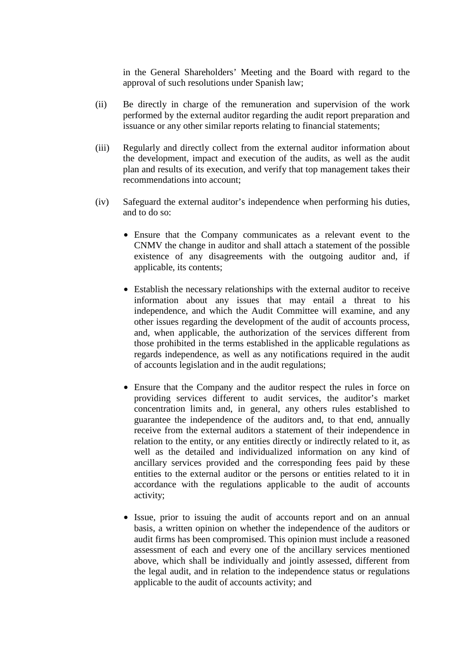in the General Shareholders' Meeting and the Board with regard to the approval of such resolutions under Spanish law;

- (ii) Be directly in charge of the remuneration and supervision of the work performed by the external auditor regarding the audit report preparation and issuance or any other similar reports relating to financial statements;
- (iii) Regularly and directly collect from the external auditor information about the development, impact and execution of the audits, as well as the audit plan and results of its execution, and verify that top management takes their recommendations into account;
- (iv) Safeguard the external auditor's independence when performing his duties, and to do so:
	- Ensure that the Company communicates as a relevant event to the CNMV the change in auditor and shall attach a statement of the possible existence of any disagreements with the outgoing auditor and, if applicable, its contents;
	- Establish the necessary relationships with the external auditor to receive information about any issues that may entail a threat to his independence, and which the Audit Committee will examine, and any other issues regarding the development of the audit of accounts process, and, when applicable, the authorization of the services different from those prohibited in the terms established in the applicable regulations as regards independence, as well as any notifications required in the audit of accounts legislation and in the audit regulations;
	- Ensure that the Company and the auditor respect the rules in force on providing services different to audit services, the auditor's market concentration limits and, in general, any others rules established to guarantee the independence of the auditors and, to that end, annually receive from the external auditors a statement of their independence in relation to the entity, or any entities directly or indirectly related to it, as well as the detailed and individualized information on any kind of ancillary services provided and the corresponding fees paid by these entities to the external auditor or the persons or entities related to it in accordance with the regulations applicable to the audit of accounts activity;
	- Issue, prior to issuing the audit of accounts report and on an annual basis, a written opinion on whether the independence of the auditors or audit firms has been compromised. This opinion must include a reasoned assessment of each and every one of the ancillary services mentioned above, which shall be individually and jointly assessed, different from the legal audit, and in relation to the independence status or regulations applicable to the audit of accounts activity; and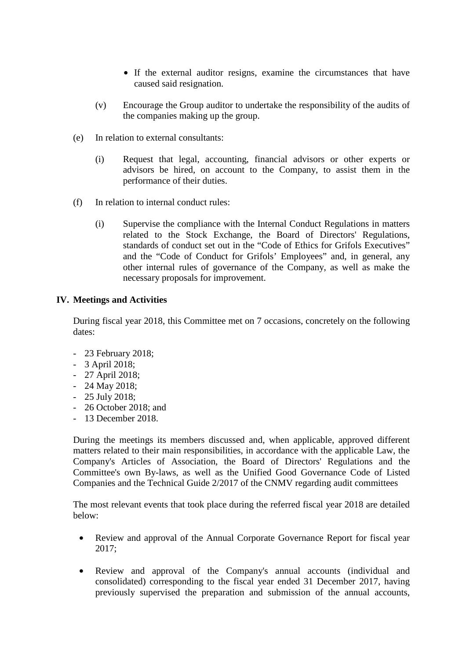- If the external auditor resigns, examine the circumstances that have caused said resignation.
- (v) Encourage the Group auditor to undertake the responsibility of the audits of the companies making up the group.
- (e) In relation to external consultants:
	- (i) Request that legal, accounting, financial advisors or other experts or advisors be hired, on account to the Company, to assist them in the performance of their duties.
- (f) In relation to internal conduct rules:
	- (i) Supervise the compliance with the Internal Conduct Regulations in matters related to the Stock Exchange, the Board of Directors' Regulations, standards of conduct set out in the "Code of Ethics for Grifols Executives" and the "Code of Conduct for Grifols' Employees" and, in general, any other internal rules of governance of the Company, as well as make the necessary proposals for improvement.

## **IV. Meetings and Activities**

During fiscal year 2018, this Committee met on 7 occasions, concretely on the following dates:

- 23 February 2018;
- 3 April 2018;
- 27 April 2018;
- 24 May 2018;
- 25 July 2018;
- 26 October 2018; and
- 13 December 2018.

During the meetings its members discussed and, when applicable, approved different matters related to their main responsibilities, in accordance with the applicable Law, the Company's Articles of Association, the Board of Directors' Regulations and the Committee's own By-laws, as well as the Unified Good Governance Code of Listed Companies and the Technical Guide 2/2017 of the CNMV regarding audit committees

The most relevant events that took place during the referred fiscal year 2018 are detailed below:

- Review and approval of the Annual Corporate Governance Report for fiscal year 2017;
- Review and approval of the Company's annual accounts (individual and consolidated) corresponding to the fiscal year ended 31 December 2017, having previously supervised the preparation and submission of the annual accounts,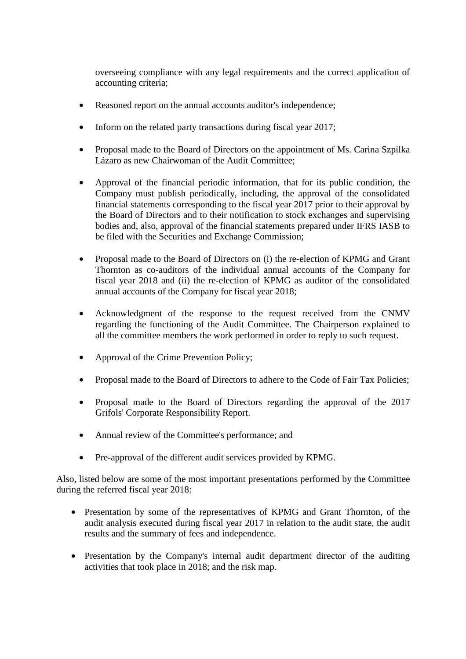overseeing compliance with any legal requirements and the correct application of accounting criteria;

- Reasoned report on the annual accounts auditor's independence;
- Inform on the related party transactions during fiscal year 2017;
- Proposal made to the Board of Directors on the appointment of Ms. Carina Szpilka Lázaro as new Chairwoman of the Audit Committee;
- Approval of the financial periodic information, that for its public condition, the Company must publish periodically, including, the approval of the consolidated financial statements corresponding to the fiscal year 2017 prior to their approval by the Board of Directors and to their notification to stock exchanges and supervising bodies and, also, approval of the financial statements prepared under IFRS IASB to be filed with the Securities and Exchange Commission;
- Proposal made to the Board of Directors on (i) the re-election of KPMG and Grant Thornton as co-auditors of the individual annual accounts of the Company for fiscal year 2018 and (ii) the re-election of KPMG as auditor of the consolidated annual accounts of the Company for fiscal year 2018;
- Acknowledgment of the response to the request received from the CNMV regarding the functioning of the Audit Committee. The Chairperson explained to all the committee members the work performed in order to reply to such request.
- Approval of the Crime Prevention Policy;
- Proposal made to the Board of Directors to adhere to the Code of Fair Tax Policies;
- Proposal made to the Board of Directors regarding the approval of the 2017 Grifols' Corporate Responsibility Report.
- Annual review of the Committee's performance; and
- Pre-approval of the different audit services provided by KPMG.

Also, listed below are some of the most important presentations performed by the Committee during the referred fiscal year 2018:

- Presentation by some of the representatives of KPMG and Grant Thornton, of the audit analysis executed during fiscal year 2017 in relation to the audit state, the audit results and the summary of fees and independence.
- Presentation by the Company's internal audit department director of the auditing activities that took place in 2018; and the risk map.